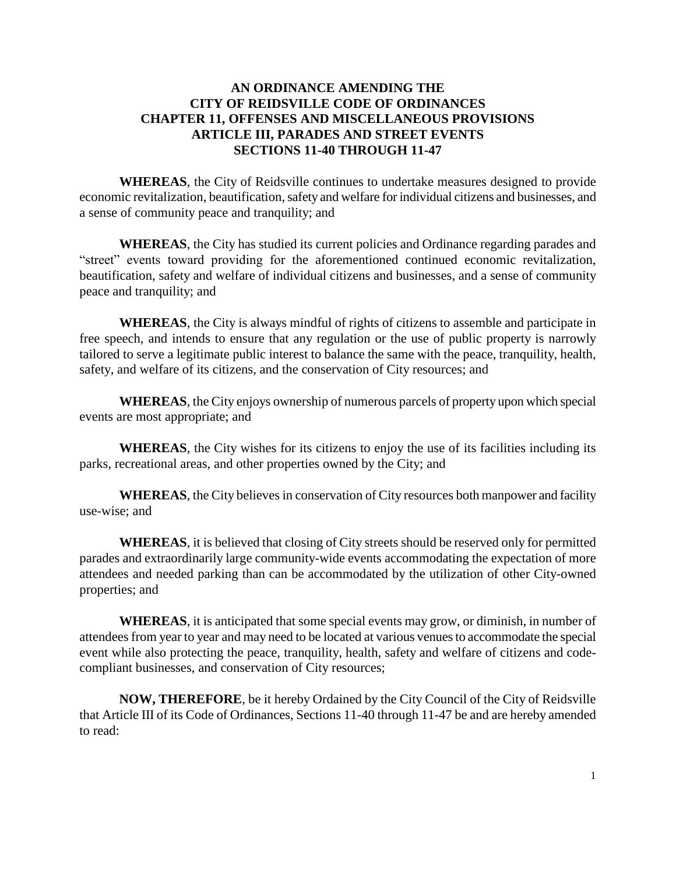## **AN ORDINANCE AMENDING THE CITY OF REIDSVILLE CODE OF ORDINANCES CHAPTER 11, OFFENSES AND MISCELLANEOUS PROVISIONS ARTICLE III, PARADES AND STREET EVENTS SECTIONS 11-40 THROUGH 11-47**

**WHEREAS**, the City of Reidsville continues to undertake measures designed to provide economic revitalization, beautification, safety and welfare for individual citizens and businesses, and a sense of community peace and tranquility; and

**WHEREAS**, the City has studied its current policies and Ordinance regarding parades and "street" events toward providing for the aforementioned continued economic revitalization, beautification, safety and welfare of individual citizens and businesses, and a sense of community peace and tranquility; and

**WHEREAS**, the City is always mindful of rights of citizens to assemble and participate in free speech, and intends to ensure that any regulation or the use of public property is narrowly tailored to serve a legitimate public interest to balance the same with the peace, tranquility, health, safety, and welfare of its citizens, and the conservation of City resources; and

**WHEREAS**, the City enjoys ownership of numerous parcels of property upon which special events are most appropriate; and

**WHEREAS**, the City wishes for its citizens to enjoy the use of its facilities including its parks, recreational areas, and other properties owned by the City; and

**WHEREAS**, the City believes in conservation of City resources both manpower and facility use-wise; and

**WHEREAS**, it is believed that closing of City streets should be reserved only for permitted parades and extraordinarily large community-wide events accommodating the expectation of more attendees and needed parking than can be accommodated by the utilization of other City-owned properties; and

**WHEREAS**, it is anticipated that some special events may grow, or diminish, in number of attendees from year to year and may need to be located at various venues to accommodate the special event while also protecting the peace, tranquility, health, safety and welfare of citizens and codecompliant businesses, and conservation of City resources;

**NOW, THEREFORE**, be it hereby Ordained by the City Council of the City of Reidsville that Article III of its Code of Ordinances, Sections 11-40 through 11-47 be and are hereby amended to read: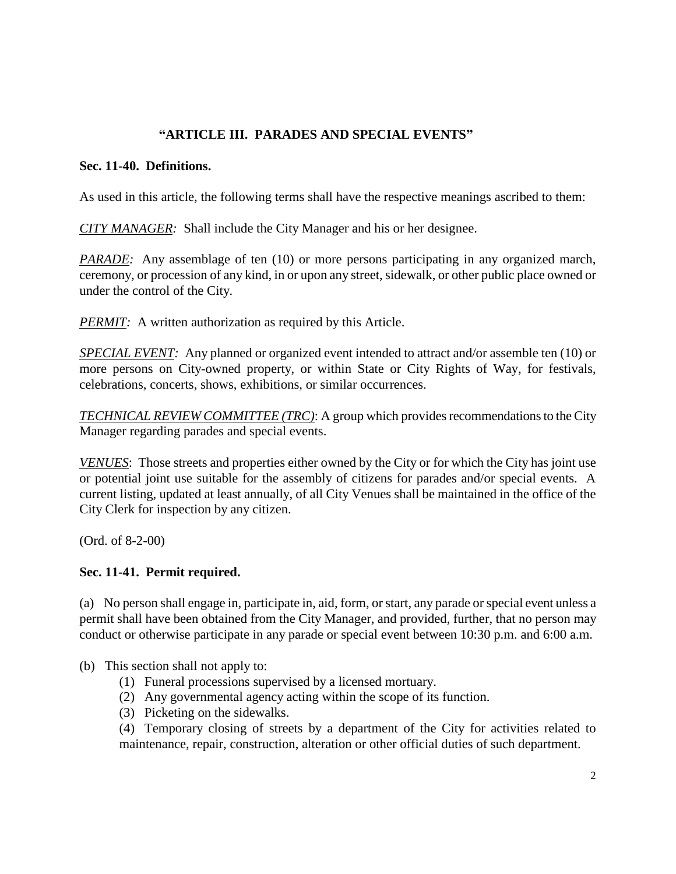# **"ARTICLE III. PARADES AND SPECIAL EVENTS"**

#### **Sec. 11-40. Definitions.**

As used in this article, the following terms shall have the respective meanings ascribed to them:

*CITY MANAGER:* Shall include the City Manager and his or her designee.

*PARADE:* Any assemblage of ten (10) or more persons participating in any organized march, ceremony, or procession of any kind, in or upon any street, sidewalk, or other public place owned or under the control of the City.

*PERMIT:* A written authorization as required by this Article.

*SPECIAL EVENT:* Any planned or organized event intended to attract and/or assemble ten (10) or more persons on City-owned property, or within State or City Rights of Way, for festivals, celebrations, concerts, shows, exhibitions, or similar occurrences.

*TECHNICAL REVIEW COMMITTEE (TRC)*: A group which provides recommendations to the City Manager regarding parades and special events.

*VENUES*: Those streets and properties either owned by the City or for which the City has joint use or potential joint use suitable for the assembly of citizens for parades and/or special events. A current listing, updated at least annually, of all City Venues shall be maintained in the office of the City Clerk for inspection by any citizen.

(Ord. of 8-2-00)

#### **Sec. 11-41. Permit required.**

(a) No person shall engage in, participate in, aid, form, or start, any parade or special event unless a permit shall have been obtained from the City Manager, and provided, further, that no person may conduct or otherwise participate in any parade or special event between 10:30 p.m. and 6:00 a.m.

(b) This section shall not apply to:

- (1) Funeral processions supervised by a licensed mortuary.
- (2) Any governmental agency acting within the scope of its function.
- (3) Picketing on the sidewalks.

(4) Temporary closing of streets by a department of the City for activities related to maintenance, repair, construction, alteration or other official duties of such department.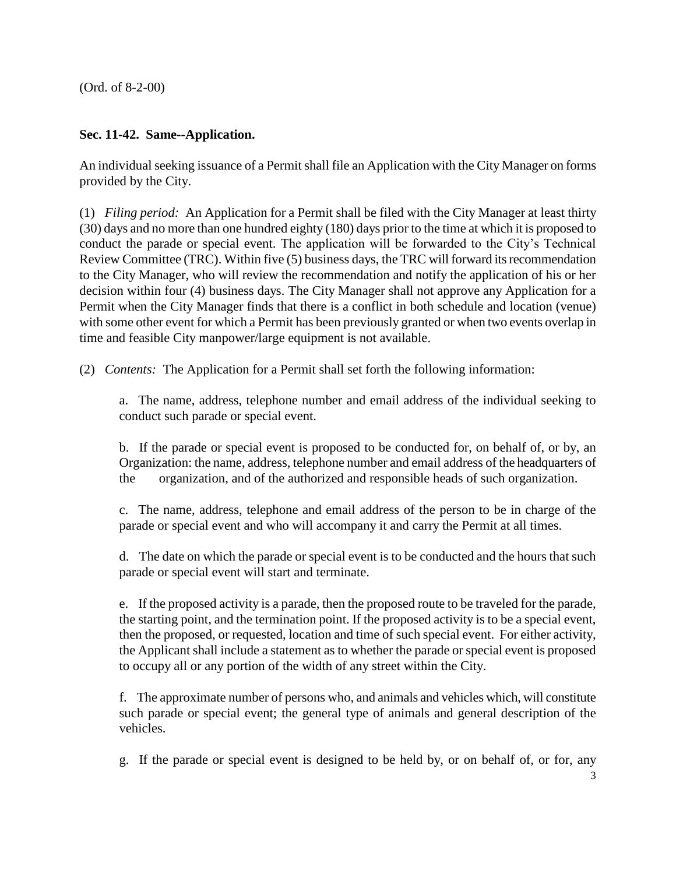(Ord. of 8-2-00)

# **Sec. 11-42. Same--Application.**

An individual seeking issuance of a Permit shall file an Application with the City Manager on forms provided by the City.

(1) *Filing period:* An Application for a Permit shall be filed with the City Manager at least thirty (30) days and no more than one hundred eighty (180) days prior to the time at which it is proposed to conduct the parade or special event. The application will be forwarded to the City's Technical Review Committee (TRC). Within five (5) business days, the TRC will forward its recommendation to the City Manager, who will review the recommendation and notify the application of his or her decision within four (4) business days. The City Manager shall not approve any Application for a Permit when the City Manager finds that there is a conflict in both schedule and location (venue) with some other event for which a Permit has been previously granted or when two events overlap in time and feasible City manpower/large equipment is not available.

(2) *Contents:* The Application for a Permit shall set forth the following information:

a. The name, address, telephone number and email address of the individual seeking to conduct such parade or special event.

b. If the parade or special event is proposed to be conducted for, on behalf of, or by, an Organization: the name, address, telephone number and email address of the headquarters of the organization, and of the authorized and responsible heads of such organization.

c. The name, address, telephone and email address of the person to be in charge of the parade or special event and who will accompany it and carry the Permit at all times.

d. The date on which the parade or special event is to be conducted and the hours that such parade or special event will start and terminate.

e. If the proposed activity is a parade, then the proposed route to be traveled for the parade, the starting point, and the termination point. If the proposed activity is to be a special event, then the proposed, or requested, location and time of such special event. For either activity, the Applicant shall include a statement as to whether the parade or special event is proposed to occupy all or any portion of the width of any street within the City.

f. The approximate number of persons who, and animals and vehicles which, will constitute such parade or special event; the general type of animals and general description of the vehicles.

g. If the parade or special event is designed to be held by, or on behalf of, or for, any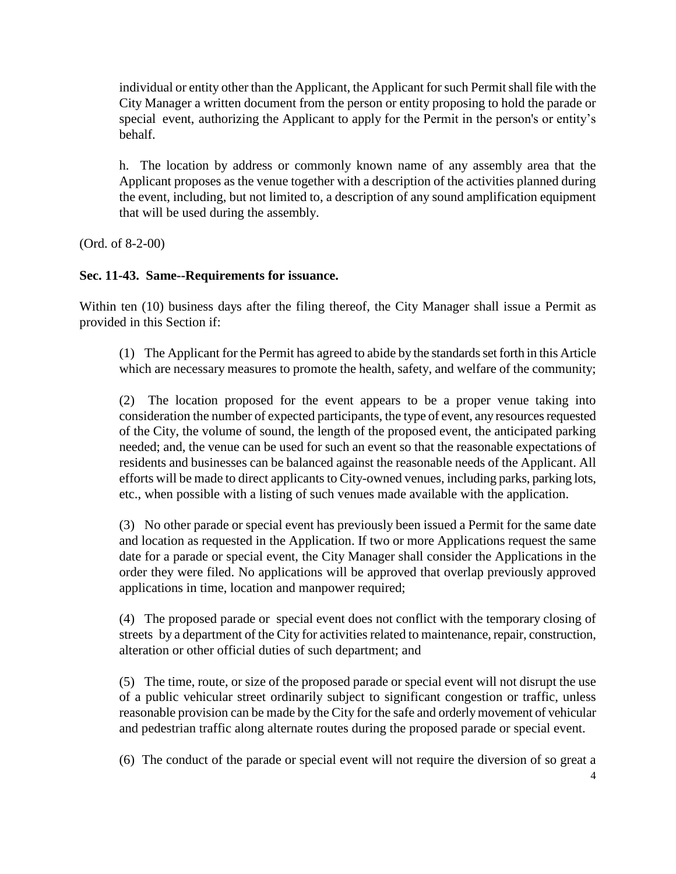individual or entity other than the Applicant, the Applicant for such Permit shall file with the City Manager a written document from the person or entity proposing to hold the parade or special event, authorizing the Applicant to apply for the Permit in the person's or entity's behalf.

h. The location by address or commonly known name of any assembly area that the Applicant proposes as the venue together with a description of the activities planned during the event, including, but not limited to, a description of any sound amplification equipment that will be used during the assembly.

(Ord. of 8-2-00)

#### **Sec. 11-43. Same--Requirements for issuance.**

Within ten (10) business days after the filing thereof, the City Manager shall issue a Permit as provided in this Section if:

(1) The Applicant for the Permit has agreed to abide by the standards set forth in this Article which are necessary measures to promote the health, safety, and welfare of the community;

(2) The location proposed for the event appears to be a proper venue taking into consideration the number of expected participants, the type of event, any resources requested of the City, the volume of sound, the length of the proposed event, the anticipated parking needed; and, the venue can be used for such an event so that the reasonable expectations of residents and businesses can be balanced against the reasonable needs of the Applicant. All efforts will be made to direct applicants to City-owned venues, including parks, parking lots, etc., when possible with a listing of such venues made available with the application.

(3) No other parade or special event has previously been issued a Permit for the same date and location as requested in the Application. If two or more Applications request the same date for a parade or special event, the City Manager shall consider the Applications in the order they were filed. No applications will be approved that overlap previously approved applications in time, location and manpower required;

(4) The proposed parade or special event does not conflict with the temporary closing of streets by a department of the City for activities related to maintenance, repair, construction, alteration or other official duties of such department; and

(5) The time, route, or size of the proposed parade or special event will not disrupt the use of a public vehicular street ordinarily subject to significant congestion or traffic, unless reasonable provision can be made by the City for the safe and orderly movement of vehicular and pedestrian traffic along alternate routes during the proposed parade or special event.

(6) The conduct of the parade or special event will not require the diversion of so great a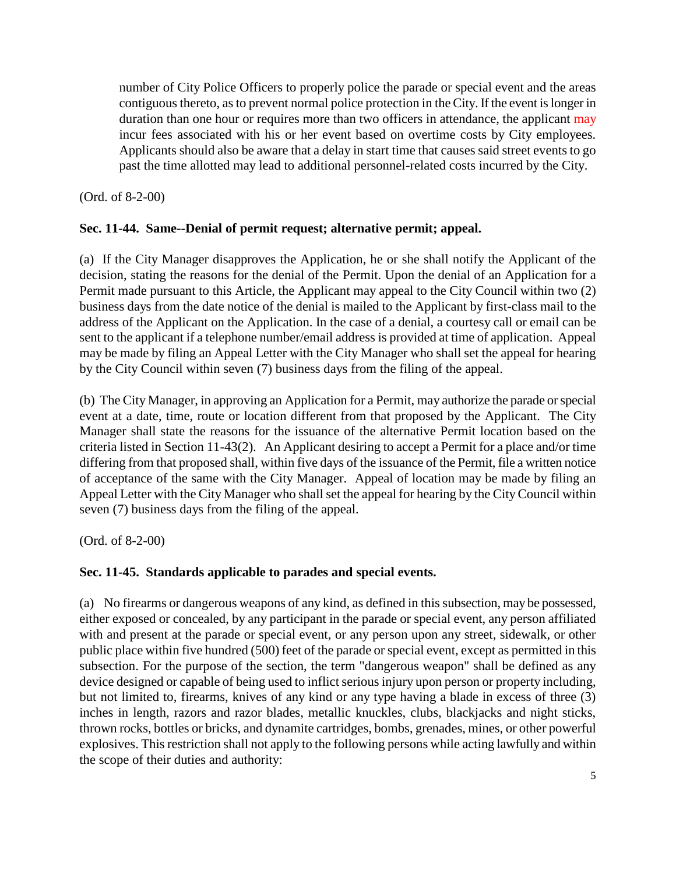number of City Police Officers to properly police the parade or special event and the areas contiguous thereto, as to prevent normal police protection in the City. If the event is longer in duration than one hour or requires more than two officers in attendance, the applicant may incur fees associated with his or her event based on overtime costs by City employees. Applicants should also be aware that a delay in start time that causes said street events to go past the time allotted may lead to additional personnel-related costs incurred by the City.

(Ord. of 8-2-00)

# **Sec. 11-44. Same--Denial of permit request; alternative permit; appeal.**

(a) If the City Manager disapproves the Application, he or she shall notify the Applicant of the decision, stating the reasons for the denial of the Permit. Upon the denial of an Application for a Permit made pursuant to this Article, the Applicant may appeal to the City Council within two (2) business days from the date notice of the denial is mailed to the Applicant by first-class mail to the address of the Applicant on the Application. In the case of a denial, a courtesy call or email can be sent to the applicant if a telephone number/email address is provided at time of application. Appeal may be made by filing an Appeal Letter with the City Manager who shall set the appeal for hearing by the City Council within seven (7) business days from the filing of the appeal.

(b) The City Manager, in approving an Application for a Permit, may authorize the parade or special event at a date, time, route or location different from that proposed by the Applicant. The City Manager shall state the reasons for the issuance of the alternative Permit location based on the criteria listed in Section 11-43(2). An Applicant desiring to accept a Permit for a place and/or time differing from that proposed shall, within five days of the issuance of the Permit, file a written notice of acceptance of the same with the City Manager. Appeal of location may be made by filing an Appeal Letter with the City Manager who shall set the appeal for hearing by the City Council within seven (7) business days from the filing of the appeal.

(Ord. of 8-2-00)

## **Sec. 11-45. Standards applicable to parades and special events.**

(a) No firearms or dangerous weapons of any kind, as defined in this subsection, may be possessed, either exposed or concealed, by any participant in the parade or special event, any person affiliated with and present at the parade or special event, or any person upon any street, sidewalk, or other public place within five hundred (500) feet of the parade or special event, except as permitted in this subsection. For the purpose of the section, the term "dangerous weapon" shall be defined as any device designed or capable of being used to inflict serious injury upon person or property including, but not limited to, firearms, knives of any kind or any type having a blade in excess of three (3) inches in length, razors and razor blades, metallic knuckles, clubs, blackjacks and night sticks, thrown rocks, bottles or bricks, and dynamite cartridges, bombs, grenades, mines, or other powerful explosives. This restriction shall not apply to the following persons while acting lawfully and within the scope of their duties and authority: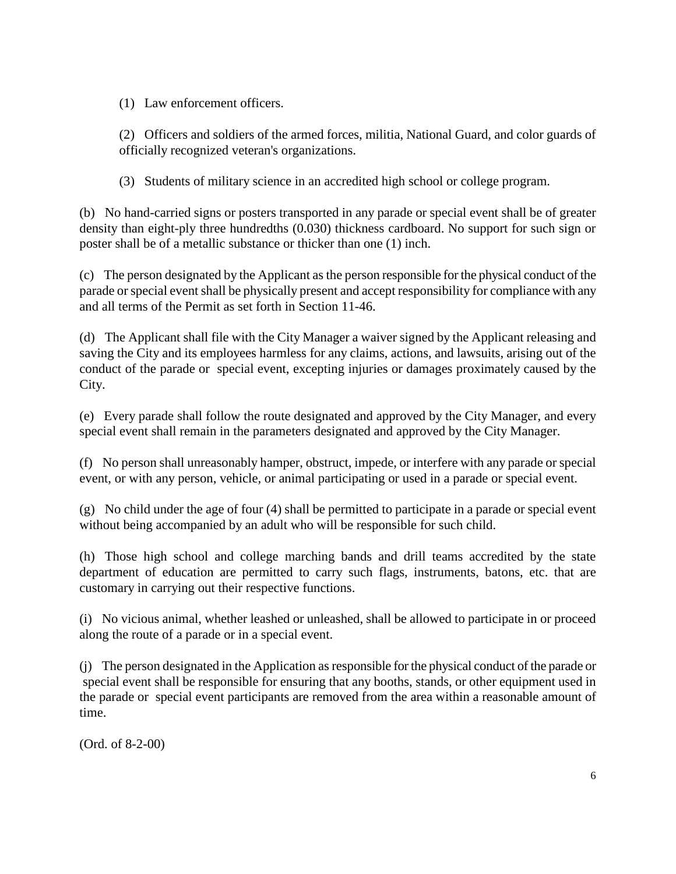(1) Law enforcement officers.

(2) Officers and soldiers of the armed forces, militia, National Guard, and color guards of officially recognized veteran's organizations.

(3) Students of military science in an accredited high school or college program.

(b) No hand-carried signs or posters transported in any parade or special event shall be of greater density than eight-ply three hundredths (0.030) thickness cardboard. No support for such sign or poster shall be of a metallic substance or thicker than one (1) inch.

(c) The person designated by the Applicant as the person responsible for the physical conduct of the parade or special event shall be physically present and accept responsibility for compliance with any and all terms of the Permit as set forth in Section 11-46.

(d) The Applicant shall file with the City Manager a waiver signed by the Applicant releasing and saving the City and its employees harmless for any claims, actions, and lawsuits, arising out of the conduct of the parade or special event, excepting injuries or damages proximately caused by the City.

(e) Every parade shall follow the route designated and approved by the City Manager, and every special event shall remain in the parameters designated and approved by the City Manager.

(f) No person shall unreasonably hamper, obstruct, impede, or interfere with any parade or special event, or with any person, vehicle, or animal participating or used in a parade or special event.

(g) No child under the age of four (4) shall be permitted to participate in a parade or special event without being accompanied by an adult who will be responsible for such child.

(h) Those high school and college marching bands and drill teams accredited by the state department of education are permitted to carry such flags, instruments, batons, etc. that are customary in carrying out their respective functions.

(i) No vicious animal, whether leashed or unleashed, shall be allowed to participate in or proceed along the route of a parade or in a special event.

(j) The person designated in the Application as responsible for the physical conduct of the parade or special event shall be responsible for ensuring that any booths, stands, or other equipment used in the parade or special event participants are removed from the area within a reasonable amount of time.

(Ord. of 8-2-00)